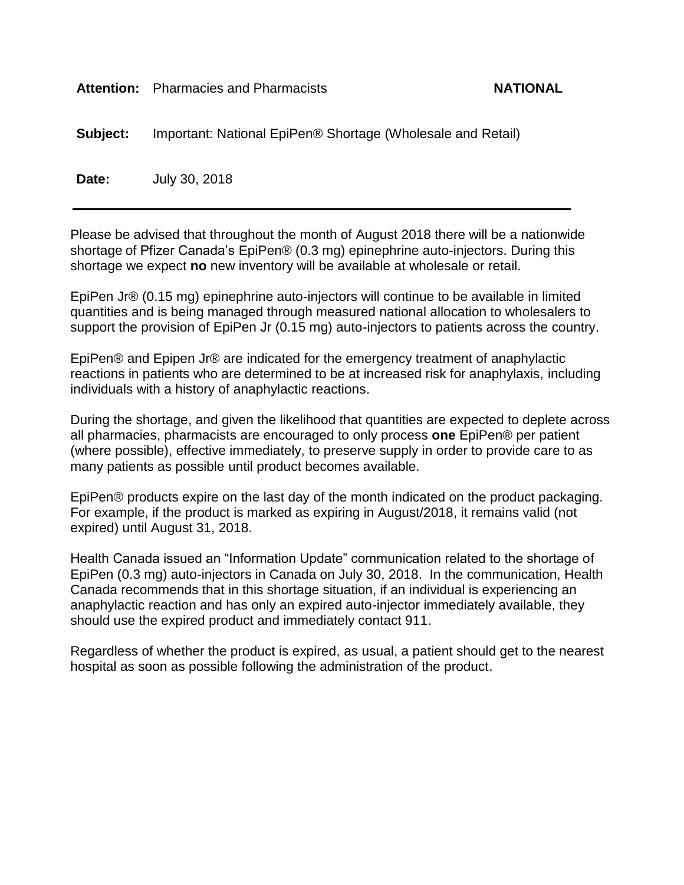#### Attention: Pharmacies and Pharmacists **NATIONAL**

**Subject:** Important: National EpiPen® Shortage (Wholesale and Retail)

**Date:** July 30, 2018

Please be advised that throughout the month of August 2018 there will be a nationwide shortage of Pfizer Canada's EpiPen® (0.3 mg) epinephrine auto-injectors. During this shortage we expect **no** new inventory will be available at wholesale or retail.

EpiPen Jr® (0.15 mg) epinephrine auto-injectors will continue to be available in limited quantities and is being managed through measured national allocation to wholesalers to support the provision of EpiPen Jr (0.15 mg) auto-injectors to patients across the country.

EpiPen® and Epipen Jr® are indicated for the emergency treatment of anaphylactic reactions in patients who are determined to be at increased risk for anaphylaxis, including individuals with a history of anaphylactic reactions.

During the shortage, and given the likelihood that quantities are expected to deplete across all pharmacies, pharmacists are encouraged to only process **one** EpiPen® per patient (where possible), effective immediately, to preserve supply in order to provide care to as many patients as possible until product becomes available.

EpiPen® products expire on the last day of the month indicated on the product packaging. For example, if the product is marked as expiring in August/2018, it remains valid (not expired) until August 31, 2018.

Health Canada issued an "Information Update" communication related to the shortage of EpiPen (0.3 mg) auto-injectors in Canada on July 30, 2018. In the communication, Health Canada recommends that in this shortage situation, if an individual is experiencing an anaphylactic reaction and has only an expired auto-injector immediately available, they should use the expired product and immediately contact 911.

Regardless of whether the product is expired, as usual, a patient should get to the nearest hospital as soon as possible following the administration of the product.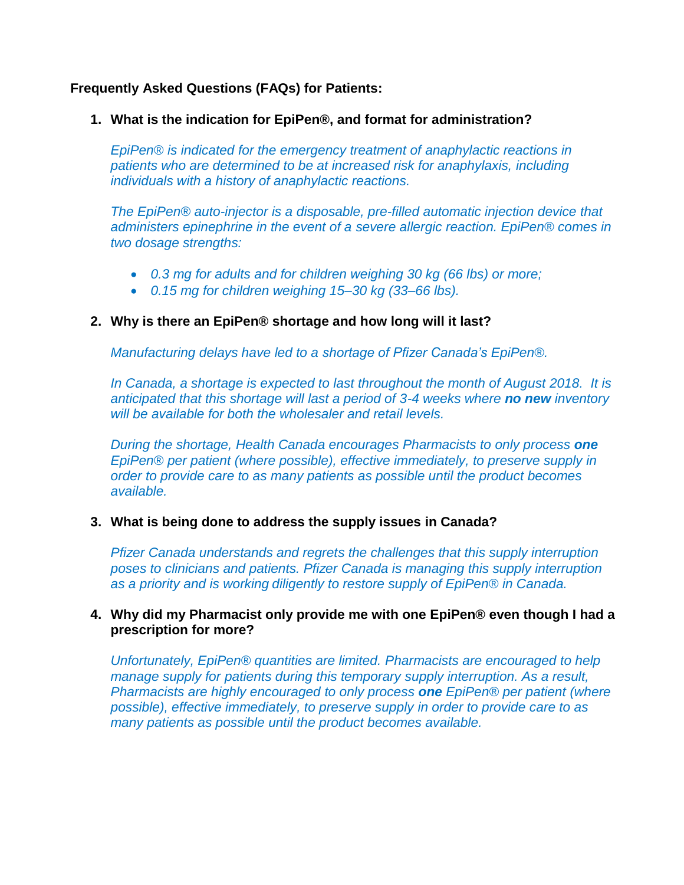# **Frequently Asked Questions (FAQs) for Patients:**

## **1. What is the indication for EpiPen®, and format for administration?**

*EpiPen® is indicated for the emergency treatment of anaphylactic reactions in patients who are determined to be at increased risk for anaphylaxis, including individuals with a history of anaphylactic reactions.* 

*The EpiPen® auto-injector is a disposable, pre-filled automatic injection device that administers epinephrine in the event of a severe allergic reaction. EpiPen® comes in two dosage strengths:* 

- *0.3 mg for adults and for children weighing 30 kg (66 lbs) or more;*
- *0.15 mg for children weighing 15–30 kg (33–66 lbs).*

# **2. Why is there an EpiPen® shortage and how long will it last?**

*Manufacturing delays have led to a shortage of Pfizer Canada's EpiPen®.*

*In Canada, a shortage is expected to last throughout the month of August 2018. It is anticipated that this shortage will last a period of 3-4 weeks where no new inventory will be available for both the wholesaler and retail levels.* 

*During the shortage, Health Canada encourages Pharmacists to only process one EpiPen® per patient (where possible), effective immediately, to preserve supply in order to provide care to as many patients as possible until the product becomes available.* 

# **3. What is being done to address the supply issues in Canada?**

*Pfizer Canada understands and regrets the challenges that this supply interruption poses to clinicians and patients. Pfizer Canada is managing this supply interruption as a priority and is working diligently to restore supply of EpiPen® in Canada.*

## **4. Why did my Pharmacist only provide me with one EpiPen® even though I had a prescription for more?**

*Unfortunately, EpiPen® quantities are limited. Pharmacists are encouraged to help manage supply for patients during this temporary supply interruption. As a result, Pharmacists are highly encouraged to only process one EpiPen® per patient (where possible), effective immediately, to preserve supply in order to provide care to as many patients as possible until the product becomes available.*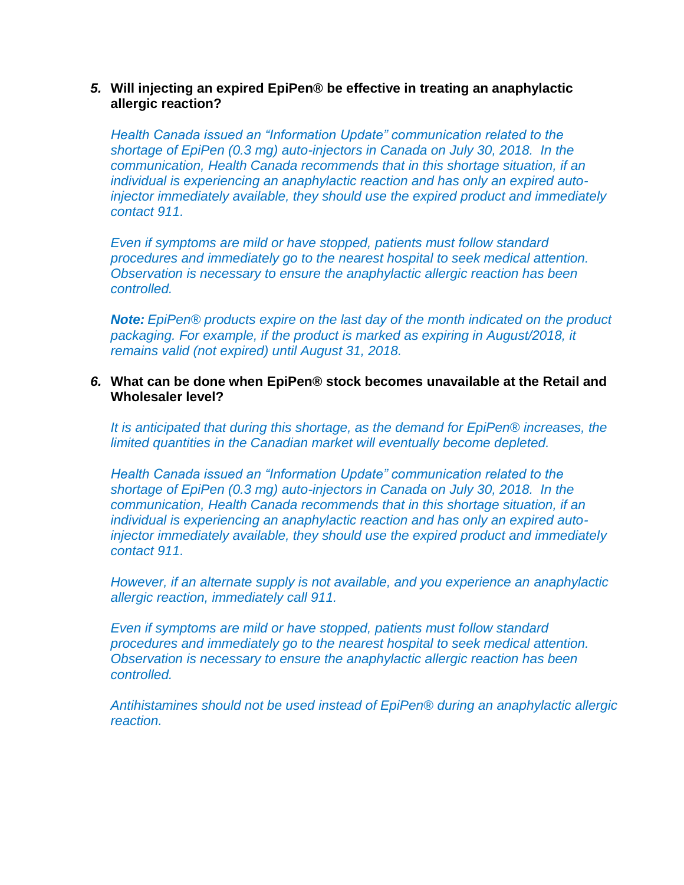#### *5.* **Will injecting an expired EpiPen® be effective in treating an anaphylactic allergic reaction?**

*Health Canada issued an "Information Update" communication related to the shortage of EpiPen (0.3 mg) auto-injectors in Canada on July 30, 2018. In the communication, Health Canada recommends that in this shortage situation, if an individual is experiencing an anaphylactic reaction and has only an expired autoinjector immediately available, they should use the expired product and immediately contact 911.* 

*Even if symptoms are mild or have stopped, patients must follow standard procedures and immediately go to the nearest hospital to seek medical attention. Observation is necessary to ensure the anaphylactic allergic reaction has been controlled.*

*Note: EpiPen® products expire on the last day of the month indicated on the product packaging. For example, if the product is marked as expiring in August/2018, it remains valid (not expired) until August 31, 2018.*

#### *6.* **What can be done when EpiPen® stock becomes unavailable at the Retail and Wholesaler level?**

*It is anticipated that during this shortage, as the demand for EpiPen® increases, the limited quantities in the Canadian market will eventually become depleted.*

*Health Canada issued an "Information Update" communication related to the shortage of EpiPen (0.3 mg) auto-injectors in Canada on July 30, 2018. In the communication, Health Canada recommends that in this shortage situation, if an individual is experiencing an anaphylactic reaction and has only an expired autoinjector immediately available, they should use the expired product and immediately contact 911.* 

*However, if an alternate supply is not available, and you experience an anaphylactic allergic reaction, immediately call 911.*

*Even if symptoms are mild or have stopped, patients must follow standard procedures and immediately go to the nearest hospital to seek medical attention. Observation is necessary to ensure the anaphylactic allergic reaction has been controlled.*

*Antihistamines should not be used instead of EpiPen® during an anaphylactic allergic reaction.*